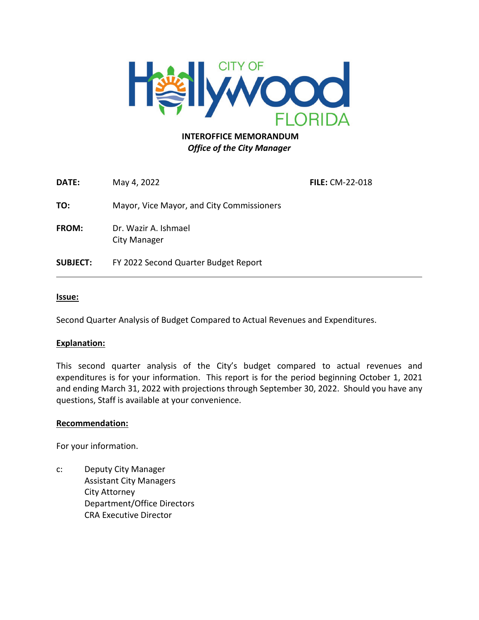

## **INTEROFFICE MEMORANDUM** *Office of the City Manager*

**DATE:** May 4, 2022 **FILE:** CM-22-018 **TO:** Mayor, Vice Mayor, and City Commissioners **FROM:** Dr. Wazir A. Ishmael City Manager **SUBJECT:** FY 2022 Second Quarter Budget Report

#### **Issue:**

Second Quarter Analysis of Budget Compared to Actual Revenues and Expenditures.

#### **Explanation:**

This second quarter analysis of the City's budget compared to actual revenues and expenditures is for your information. This report is for the period beginning October 1, 2021 and ending March 31, 2022 with projections through September 30, 2022. Should you have any questions, Staff is available at your convenience.

#### **Recommendation:**

For your information.

c: Deputy City Manager Assistant City Managers City Attorney Department/Office Directors CRA Executive Director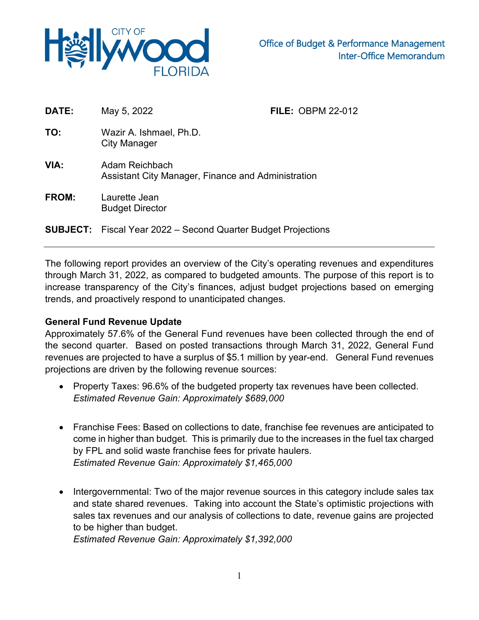

| DATE:        | May 5, 2022                                                          | <b>FILE: OBPM 22-012</b> |  |
|--------------|----------------------------------------------------------------------|--------------------------|--|
| TO:          | Wazir A. Ishmael, Ph.D.<br>City Manager                              |                          |  |
| VIA:         | Adam Reichbach<br>Assistant City Manager, Finance and Administration |                          |  |
| <b>FROM:</b> | Laurette Jean<br><b>Budget Director</b>                              |                          |  |
|              | <b>SUBJECT:</b> Fiscal Year 2022 – Second Quarter Budget Projections |                          |  |

The following report provides an overview of the City's operating revenues and expenditures through March 31, 2022, as compared to budgeted amounts. The purpose of this report is to increase transparency of the City's finances, adjust budget projections based on emerging trends, and proactively respond to unanticipated changes.

## **General Fund Revenue Update**

Approximately 57.6% of the General Fund revenues have been collected through the end of the second quarter. Based on posted transactions through March 31, 2022, General Fund revenues are projected to have a surplus of \$5.1 million by year-end. General Fund revenues projections are driven by the following revenue sources:

- Property Taxes: 96.6% of the budgeted property tax revenues have been collected. *Estimated Revenue Gain: Approximately \$689,000*
- Franchise Fees: Based on collections to date, franchise fee revenues are anticipated to come in higher than budget. This is primarily due to the increases in the fuel tax charged by FPL and solid waste franchise fees for private haulers. *Estimated Revenue Gain: Approximately \$1,465,000*
- Intergovernmental: Two of the major revenue sources in this category include sales tax and state shared revenues. Taking into account the State's optimistic projections with sales tax revenues and our analysis of collections to date, revenue gains are projected to be higher than budget.

*Estimated Revenue Gain: Approximately \$1,392,000*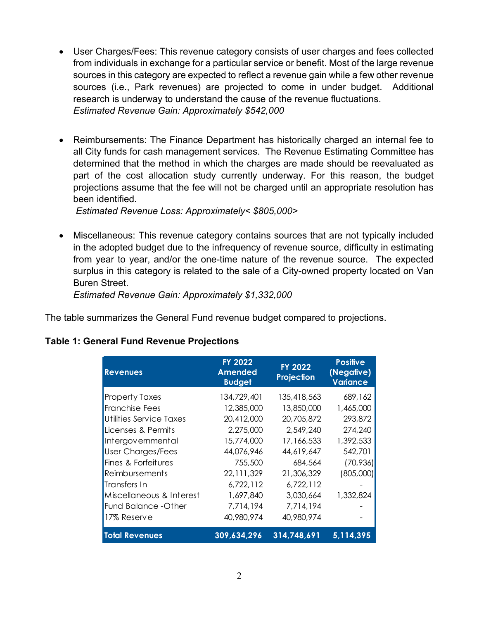- User Charges/Fees: This revenue category consists of user charges and fees collected from individuals in exchange for a particular service or benefit. Most of the large revenue sources in this category are expected to reflect a revenue gain while a few other revenue sources (i.e., Park revenues) are projected to come in under budget. Additional research is underway to understand the cause of the revenue fluctuations. *Estimated Revenue Gain: Approximately \$542,000*
- Reimbursements: The Finance Department has historically charged an internal fee to all City funds for cash management services. The Revenue Estimating Committee has determined that the method in which the charges are made should be reevaluated as part of the cost allocation study currently underway. For this reason, the budget projections assume that the fee will not be charged until an appropriate resolution has been identified.

*Estimated Revenue Loss: Approximately< \$805,000>*

• Miscellaneous: This revenue category contains sources that are not typically included in the adopted budget due to the infrequency of revenue source, difficulty in estimating from year to year, and/or the one-time nature of the revenue source. The expected surplus in this category is related to the sale of a City-owned property located on Van Buren Street.

*Estimated Revenue Gain: Approximately \$1,332,000*

The table summarizes the General Fund revenue budget compared to projections.

| <b>Revenues</b>          | <b>FY 2022</b><br><b>Amended</b><br><b>Budget</b> | <b>FY 2022</b><br>Projection | <b>Positive</b><br>(Negative)<br><b>Variance</b> |
|--------------------------|---------------------------------------------------|------------------------------|--------------------------------------------------|
| <b>Property Taxes</b>    | 134,729,401                                       | 135,418,563                  | 689,162                                          |
| Franchise Fees           | 12,385,000                                        | 13,850,000                   | 1,465,000                                        |
| Utilities Service Taxes  | 20,412,000                                        | 20,705,872                   | 293,872                                          |
| Licenses & Permits       | 2,275,000                                         | 2,549,240                    | 274,240                                          |
| Intergovernmental        | 15,774,000                                        | 17,166,533                   | 1,392,533                                        |
| <b>User Charges/Fees</b> | 44,076,946                                        | 44,619,647                   | 542,701                                          |
| Fines & Forfeitures      | 755,500                                           | 684,564                      | (70, 936)                                        |
| Reimbursements           | 22, 111, 329                                      | 21,306,329                   | (805,000)                                        |
| Transfers In             | 6,722,112                                         | 6,722,112                    |                                                  |
| Miscellaneous & Interest | 1,697,840                                         | 3,030,664                    | 1,332,824                                        |
| Fund Balance - Other     | 7,714,194                                         | 7,714,194                    |                                                  |
| 17% Reserve              | 40,980,974                                        | 40,980,974                   |                                                  |
| <b>Total Revenues</b>    | 309,634,296                                       | 314,748,691                  | 5,114,395                                        |

# **Table 1: General Fund Revenue Projections**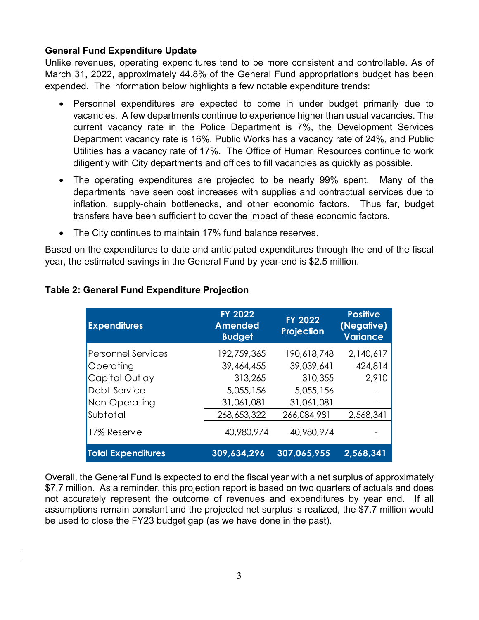## **General Fund Expenditure Update**

Unlike revenues, operating expenditures tend to be more consistent and controllable. As of March 31, 2022, approximately 44.8% of the General Fund appropriations budget has been expended. The information below highlights a few notable expenditure trends:

- Personnel expenditures are expected to come in under budget primarily due to vacancies. A few departments continue to experience higher than usual vacancies. The current vacancy rate in the Police Department is 7%, the Development Services Department vacancy rate is 16%, Public Works has a vacancy rate of 24%, and Public Utilities has a vacancy rate of 17%. The Office of Human Resources continue to work diligently with City departments and offices to fill vacancies as quickly as possible.
- The operating expenditures are projected to be nearly 99% spent. Many of the departments have seen cost increases with supplies and contractual services due to inflation, supply-chain bottlenecks, and other economic factors. Thus far, budget transfers have been sufficient to cover the impact of these economic factors.
- The City continues to maintain 17% fund balance reserves.

Based on the expenditures to date and anticipated expenditures through the end of the fiscal year, the estimated savings in the General Fund by year-end is \$2.5 million.

| <b>Expenditures</b>       | <b>FY 2022</b><br><b>Amended</b><br><b>Budget</b> | <b>FY 2022</b><br>Projection | <b>Positive</b><br>(Negative)<br><b>Variance</b> |
|---------------------------|---------------------------------------------------|------------------------------|--------------------------------------------------|
| <b>Personnel Services</b> | 192,759,365                                       | 190,618,748                  | 2,140,617                                        |
| Operating                 | 39,464,455                                        | 39,039,641                   | 424,814                                          |
| Capital Outlay            | 313,265                                           | 310,355                      | 2,910                                            |
| Debt Service              | 5,055,156                                         | 5,055,156                    |                                                  |
| Non-Operating             | 31,061,081                                        | 31,061,081                   |                                                  |
| Subtotal                  | 268,653,322                                       | 266,084,981                  | 2,568,341                                        |
| 17% Reserve               | 40,980,974                                        | 40,980,974                   |                                                  |
| <b>Total Expenditures</b> | 309,634,296                                       | 307,065,955                  | 2,568,341                                        |

# **Table 2: General Fund Expenditure Projection**

Overall, the General Fund is expected to end the fiscal year with a net surplus of approximately \$7.7 million. As a reminder, this projection report is based on two quarters of actuals and does not accurately represent the outcome of revenues and expenditures by year end. If all assumptions remain constant and the projected net surplus is realized, the \$7.7 million would be used to close the FY23 budget gap (as we have done in the past).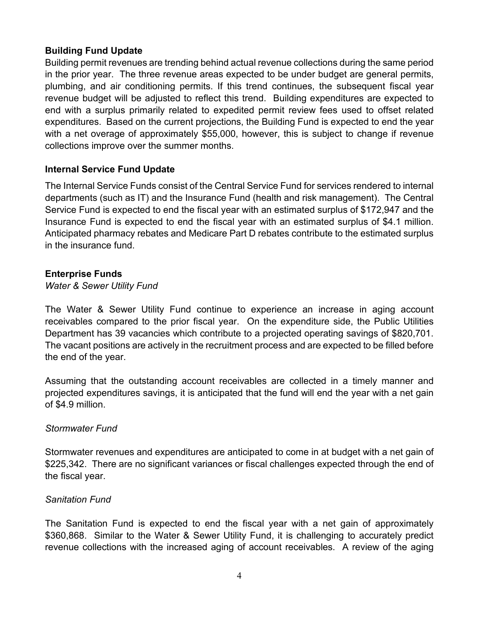## **Building Fund Update**

Building permit revenues are trending behind actual revenue collections during the same period in the prior year. The three revenue areas expected to be under budget are general permits, plumbing, and air conditioning permits. If this trend continues, the subsequent fiscal year revenue budget will be adjusted to reflect this trend. Building expenditures are expected to end with a surplus primarily related to expedited permit review fees used to offset related expenditures. Based on the current projections, the Building Fund is expected to end the year with a net overage of approximately \$55,000, however, this is subject to change if revenue collections improve over the summer months.

## **Internal Service Fund Update**

The Internal Service Funds consist of the Central Service Fund for services rendered to internal departments (such as IT) and the Insurance Fund (health and risk management). The Central Service Fund is expected to end the fiscal year with an estimated surplus of \$172,947 and the Insurance Fund is expected to end the fiscal year with an estimated surplus of \$4.1 million. Anticipated pharmacy rebates and Medicare Part D rebates contribute to the estimated surplus in the insurance fund.

## **Enterprise Funds**

*Water & Sewer Utility Fund*

The Water & Sewer Utility Fund continue to experience an increase in aging account receivables compared to the prior fiscal year. On the expenditure side, the Public Utilities Department has 39 vacancies which contribute to a projected operating savings of \$820,701. The vacant positions are actively in the recruitment process and are expected to be filled before the end of the year.

Assuming that the outstanding account receivables are collected in a timely manner and projected expenditures savings, it is anticipated that the fund will end the year with a net gain of \$4.9 million.

## *Stormwater Fund*

Stormwater revenues and expenditures are anticipated to come in at budget with a net gain of \$225,342. There are no significant variances or fiscal challenges expected through the end of the fiscal year.

## *Sanitation Fund*

The Sanitation Fund is expected to end the fiscal year with a net gain of approximately \$360,868. Similar to the Water & Sewer Utility Fund, it is challenging to accurately predict revenue collections with the increased aging of account receivables. A review of the aging